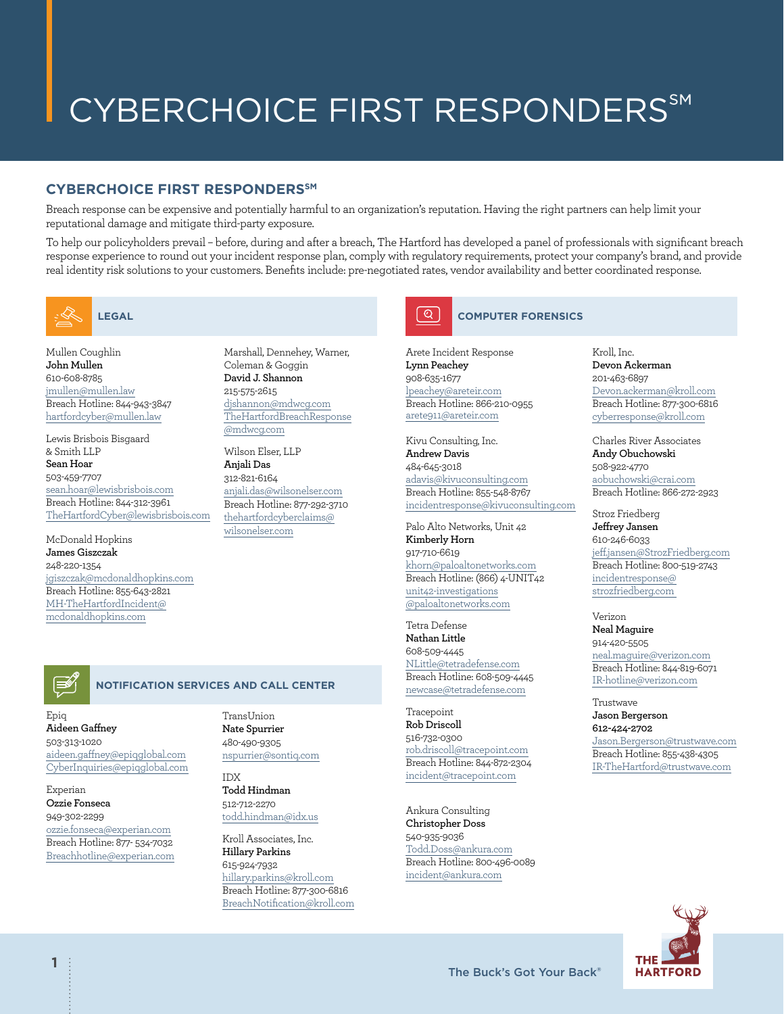# CYBERCHOICE FIRST RESPONDERS℠

## **CYBERCHOICE FIRST RESPONDERSSM**

Breach response can be expensive and potentially harmful to an organization's reputation. Having the right partners can help limit your reputational damage and mitigate third-party exposure.

To help our policyholders prevail – before, during and after a breach, The Hartford has developed a panel of professionals with significant breach response experience to round out your incident response plan, comply with regulatory requirements, protect your company's brand, and provide real identity risk solutions to your customers. Benefits include: pre-negotiated rates, vendor availability and better coordinated response.



Mullen Coughlin **John Mullen** 610-608-8785 [jmullen@mullen.law](mailto:jmullen@mullen.law) Breach Hotline: 844-943-3847 [hartfordcyber@mullen.law](mailto:hartfordcyber@mullen.law)

Lewis Brisbois Bisgaard & Smith LLP **Sean Hoar** 503-459-7707 sean.hoar@lewisbrisbois.com Breach Hotline: 844-312-3961 TheHartfordCyber@lewisbrisbois.com

McDonald Hopkins **James Giszczak** 248-220-1354 [jgiszczak@mcdonaldhopkins.com](mailto:jgiszczak@mcdonaldhopkins.com) Breach Hotline: 855-643-2821 [MH-TheHartfordIncident@](mailto:MH-TheHartfordIncident@mcdonaldhopkins.com) [mcdonaldhopkins.com](mailto:MH-TheHartfordIncident@mcdonaldhopkins.com)

Marshall, Dennehey, Warner, Coleman & Goggin **David J. Shannon** 215-575-2615 [djshannon@mdwcg.com](mailto:djshannon@mdwcg.com) [TheHartfordBreachResponse](mailto:TheHartfordBreachResponse@mdwcg.com) [@mdwcg.com](mailto:TheHartfordBreachResponse@mdwcg.com)

Wilson Elser, LLP **Anjali Das** 312-821-6164 [anjali.das@wilsonelser.com](mailto:anjali.das@wilsonelser.com) Breach Hotline: 877-292-3710 [thehartfordcyberclaims@](mailto:thehartfordcyberclaims@wilsonelser.com) [wilsonelser.com](mailto:thehartfordcyberclaims@wilsonelser.com)



#### **COMPUTER FORENSICS**

Arete Incident Response **Lynn Peachey** 908-635-1677 [lpeachey@areteir.com](mailto:lpeachey@areteir.com) Breach Hotline: 866-210-0955 [arete911@areteir.com](mailto:arete911@areteir.com)

Kivu Consulting, Inc. **Andrew Davis**  484-645-3018 [adavis@kivuconsulting.com](mailto:adavis@kivuconsulting.com) Breach Hotline: 855-548-8767 [incidentresponse@kivuconsulting.com](mailto:incidentresponse@kivuconsulting.com)

Palo Alto Networks, Unit 42 **Kimberly Horn** 917-710-6619 [khorn@paloaltonetworks.com](mailto:khorn@paloaltonetworks.com) Breach Hotline: (866) 4-UNIT42 [unit42-investigations](mailto:unit42-investigations@paloaltonetworks.com) [@paloaltonetworks.com](mailto:unit42-investigations@paloaltonetworks.com)

Tetra Defense **Nathan Little** 608-509-4445 [NLittle@tetradefense.com](mailto:NLittle@tetradefense.com) Breach Hotline: 608-509-4445 [newcase@tetradefense.com](mailto:newcase@tetradefense.com)

Tracepoint **Rob Driscoll** 516-732-0300 [rob.driscoll@tracepoint.com](mailto:rob.driscoll@tracepoint.com) Breach Hotline: 844-872-2304 [incident@tracepoint.com](mailto:incident@tracepoint.com)

Ankura Consulting **Christopher Doss** 540-935-9036 [Todd.Doss@ankura.com](mailto:Todd.Doss@ankura.com) Breach Hotline: 800-496-0089 [incident@ankura.com](mailto:incident@ankura.com)

Kroll, Inc. **Devon Ackerman**  201-463-6897 [Devon.ackerman@kroll.com](mailto:Devon.ackerman@kroll.com) Breach Hotline: 877-300-6816 [cyberresponse@kroll.com](mailto:cyberresponse@kroll.com)

Charles River Associates **Andy Obuchowski** 508-922-4770 [aobuchowski@crai.com](mailto:aobuchowski@crai.com) Breach Hotline: 866-272-2923

Stroz Friedberg **Jeffrey Jansen** 610-246-6033 [jeff.jansen@StrozFriedberg.com](mailto:jeff.jansen@StrozFriedberg.com) Breach Hotline: 800-519-2743 [incidentresponse@](mailto:incidentresponse@strozfriedberg.com) [strozfriedberg.com](mailto:incidentresponse@strozfriedberg.com) 

Verizon **Neal Maguire** 914-420-5505 [neal.maguire@verizon.com](mailto:neal.maguire@verizon.com) Breach Hotline: 844-819-6071 [IR-hotline@verizon.com](mailto:IR-hotline@verizon.com)

Trustwave **Jason Bergerson 612-424-2702** [Jason.Bergerson@trustwave.com](mailto:Jason.Bergerson@trustwave.com) Breach Hotline: 855-438-4305 [IR-TheHartford@trustwave.com](mailto:IR-TheHartford@trustwave.com)



### **NOTIFICATION SERVICES AND CALL CENTER**

Epiq **Aideen Gaffney** 503-313-1020 [aideen.gaffney@epiqglobal.com](mailto:aideen.gaffney@epiqglobal.com) [CyberInquiries@epiqglobal.com](mailto:CyberInquiries@epiqglobal.com)

Experian **Ozzie Fonseca**

949-302-2299

[ozzie.fonseca@experian.com](mailto:ozzie.fonseca@experian.com) Breach Hotline: 877- 534-7032 [Breachhotline@experian.com](mailto:Breachhotline@experian.com) TransUnion **Nate Spurrier** 480-490-9305 [nspurrier@sontiq.com](mailto:nspurrier@sontiq.com)

IDX **Todd Hindman** 512-712-2270 [todd.hindman@idx.us](mailto:todd.hindman@idx.us)

Kroll Associates, Inc. **Hillary Parkins** 615-924-7932 [hillary.parkins@kroll.com](mailto:hillary.parkins@kroll.com) Breach Hotline: 877-300-6816 [BreachNotification@kroll.com](mailto:BreachNotification@kroll.com)